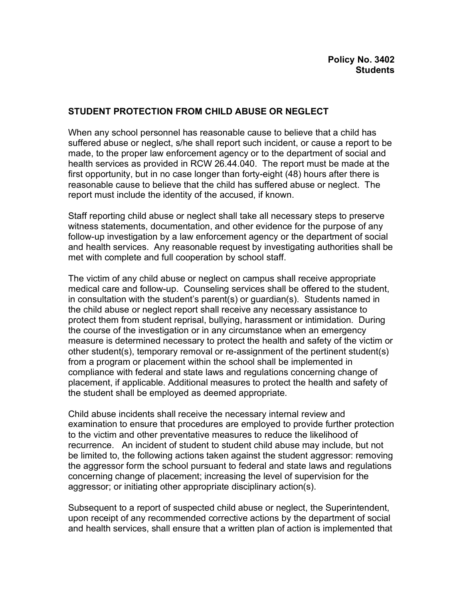## **STUDENT PROTECTION FROM CHILD ABUSE OR NEGLECT**

When any school personnel has reasonable cause to believe that a child has suffered abuse or neglect, s/he shall report such incident, or cause a report to be made, to the proper law enforcement agency or to the department of social and health services as provided in RCW 26.44.040. The report must be made at the first opportunity, but in no case longer than forty-eight (48) hours after there is reasonable cause to believe that the child has suffered abuse or neglect. The report must include the identity of the accused, if known.

Staff reporting child abuse or neglect shall take all necessary steps to preserve witness statements, documentation, and other evidence for the purpose of any follow-up investigation by a law enforcement agency or the department of social and health services. Any reasonable request by investigating authorities shall be met with complete and full cooperation by school staff.

The victim of any child abuse or neglect on campus shall receive appropriate medical care and follow-up. Counseling services shall be offered to the student, in consultation with the student's parent(s) or guardian(s). Students named in the child abuse or neglect report shall receive any necessary assistance to protect them from student reprisal, bullying, harassment or intimidation. During the course of the investigation or in any circumstance when an emergency measure is determined necessary to protect the health and safety of the victim or other student(s), temporary removal or re-assignment of the pertinent student(s) from a program or placement within the school shall be implemented in compliance with federal and state laws and regulations concerning change of placement, if applicable. Additional measures to protect the health and safety of the student shall be employed as deemed appropriate.

Child abuse incidents shall receive the necessary internal review and examination to ensure that procedures are employed to provide further protection to the victim and other preventative measures to reduce the likelihood of recurrence. An incident of student to student child abuse may include, but not be limited to, the following actions taken against the student aggressor: removing the aggressor form the school pursuant to federal and state laws and regulations concerning change of placement; increasing the level of supervision for the aggressor; or initiating other appropriate disciplinary action(s).

Subsequent to a report of suspected child abuse or neglect, the Superintendent, upon receipt of any recommended corrective actions by the department of social and health services, shall ensure that a written plan of action is implemented that